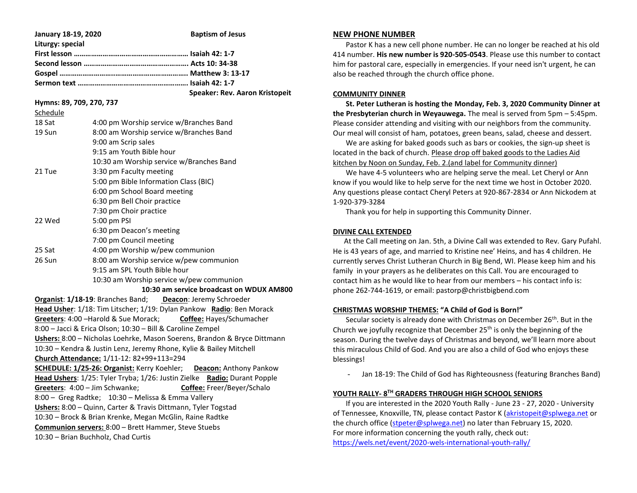| January 18-19, 2020      | <b>Baptism of Jesus</b>               |
|--------------------------|---------------------------------------|
| Liturgy: special         |                                       |
|                          |                                       |
|                          |                                       |
|                          |                                       |
|                          |                                       |
|                          | <b>Speaker: Rev. Aaron Kristopeit</b> |
| Hymns: 89, 709, 270, 737 |                                       |

Schedule

| 18 Sat | 4:00 pm Worship service w/Branches Band  |
|--------|------------------------------------------|
| 19 Sun | 8:00 am Worship service w/Branches Band  |
|        | 9:00 am Scrip sales                      |
|        | 9:15 am Youth Bible hour                 |
|        | 10:30 am Worship service w/Branches Band |
| 21 Tue | 3:30 pm Faculty meeting                  |
|        | 5:00 pm Bible Information Class (BIC)    |
|        | 6:00 pm School Board meeting             |
|        | 6:30 pm Bell Choir practice              |
|        | 7:30 pm Choir practice                   |
| 22 Wed | 5:00 pm PSI                              |
|        | 6:30 pm Deacon's meeting                 |
|        | 7:00 pm Council meeting                  |
| 25 Sat | 4:00 pm Worship w/pew communion          |
| 26 Sun | 8:00 am Worship service w/pew communion  |
|        | 9:15 am SPL Youth Bible hour             |
|        | 10:30 am Worship service w/pew communion |

### **10:30 am service broadcast on WDUX AM800**

**Organist**: **1/18-19**: Branches Band; **Deacon**: Jeremy Schroeder **Head Usher**: 1/18: Tim Litscher; 1/19: Dylan Pankow **Radio**: Ben Morack **Greeters**: 4:00 –Harold & Sue Morack; **Coffee:** Hayes/Schumacher 8:00 – Jacci & Erica Olson; 10:30 – Bill & Caroline Zempel **Ushers:** 8:00 – Nicholas Loehrke, Mason Soerens, Brandon & Bryce Dittmann 10:30 – Kendra & Justin Lenz, Jeremy Rhone, Kylie & Bailey Mitchell **Church Attendance:** 1/11-12: 82+99+113=294 **SCHEDULE: 1/25-26: Organist:** Kerry Koehler; **Deacon:** Anthony Pankow **Head Ushers**: 1/25: Tyler Tryba; 1/26: Justin Zielke **Radio:** Durant Popple **Greeters**: 4:00 – Jim Schwanke; **Coffee:** Freer/Beyer/Schalo 8:00 – Greg Radtke; 10:30 – Melissa & Emma Vallery **Ushers:** 8:00 – Quinn, Carter & Travis Dittmann, Tyler Togstad 10:30 – Brock & Brian Krenke, Megan McGlin, Raine Radtke **Communion servers:** 8:00 – Brett Hammer, Steve Stuebs 10:30 – Brian Buchholz, Chad Curtis

#### **NEW PHONE NUMBER**

 Pastor K has a new cell phone number. He can no longer be reached at his old 414 number. **His new number is 920-505-0543**. Please use this number to contact him for pastoral care, especially in emergencies. If your need isn't urgent, he can also be reached through the church office phone.

### **COMMUNITY DINNER**

 **St. Peter Lutheran is hosting the Monday, Feb. 3, 2020 Community Dinner at the Presbyterian church in Weyauwega.** The meal is served from 5pm – 5:45pm. Please consider attending and visiting with our neighbors from the community. Our meal will consist of ham, potatoes, green beans, salad, cheese and dessert.

 We are asking for baked goods such as bars or cookies, the sign-up sheet is located in the back of church. Please drop off baked goods to the Ladies Aid kitchen by Noon on Sunday, Feb. 2.(and label for Community dinner)

 We have 4-5 volunteers who are helping serve the meal. Let Cheryl or Ann know if you would like to help serve for the next time we host in October 2020. Any questions please contact Cheryl Peters at 920-867-2834 or Ann Nickodem at 1-920-379-3284

Thank you for help in supporting this Community Dinner.

### **DIVINE CALL EXTENDED**

 At the Call meeting on Jan. 5th, a Divine Call was extended to Rev. Gary Pufahl. He is 43 years of age, and married to Kristine nee' Heins, and has 4 children. He currently serves Christ Lutheran Church in Big Bend, WI. Please keep him and his family in your prayers as he deliberates on this Call. You are encouraged to contact him as he would like to hear from our members – his contact info is: phone 262-744-1619, or email: pastorp@christbigbend.com

# **CHRISTMAS WORSHIP THEMES: "A Child of God is Born!"**

Secular society is already done with Christmas on December 26<sup>th</sup>. But in the Church we joyfully recognize that December 25th is only the beginning of the season. During the twelve days of Christmas and beyond, we'll learn more about this miraculous Child of God. And you are also a child of God who enjoys these blessings!

- Jan 18-19: The Child of God has Righteousness (featuring Branches Band)

# **YOUTH RALLY- 8 TH GRADERS THROUGH HIGH SCHOOL SENIORS**

 If you are interested in the 2020 Youth Rally - June 23 - 27, 2020 - University of Tennessee, Knoxville, TN, please contact Pastor K [\(akristopeit@splwega.net](mailto:akristopeit@splwega.net) or the church office [\(stpeter@splwega.net\)](mailto:stpeter@splwega.net) no later than February 15, 2020. For more information concerning the youth rally, check out: [https://wels.net/event/2020-wels-international-youth-rally/](https://linkprotect.cudasvc.com/url?a=https%3a%2f%2fwels.net%2fevent%2f2020-wels-international-youth-rally%2f&c=E,1,lNRUNoWdLc8CEU1jUlRIG_FoezLoXzVGad5eWmo1lybuzP_6cs-H3i5BmvNlmdZBfHcL-4wdrIs24BU9wM1hI-2YqAKHaNpkvLIa0u3j&typo=1)